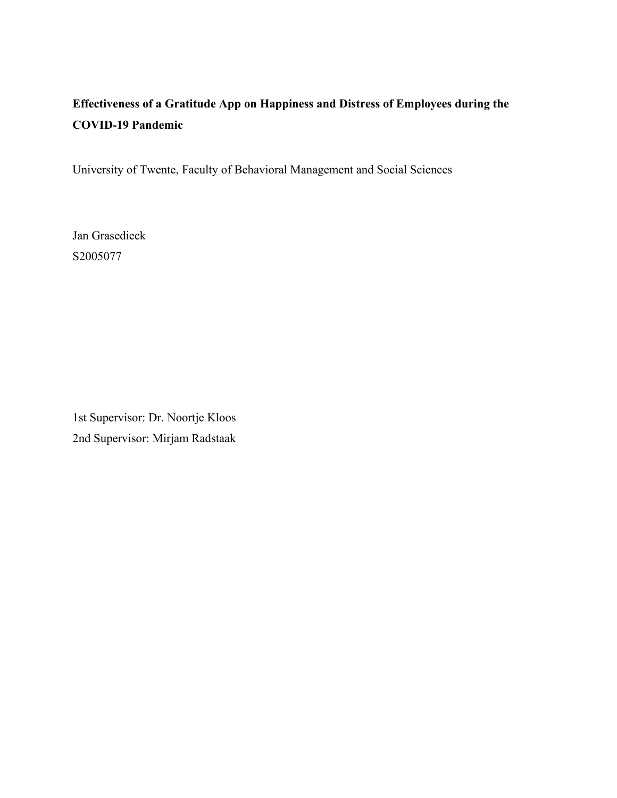# **Effectiveness of a Gratitude App on Happiness and Distress of Employees during the COVID-19 Pandemic**

University of Twente, Faculty of Behavioral Management and Social Sciences

Jan Grasedieck S2005077

1st Supervisor: Dr. Noortje Kloos 2nd Supervisor: Mirjam Radstaak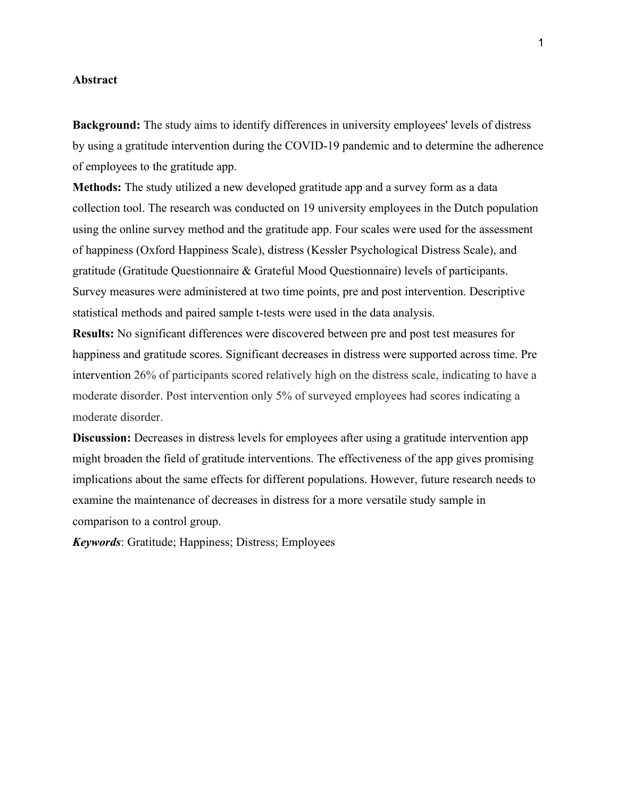# **Abstract**

**Background:** The study aims to identify differences in university employees' levels of distress by using a gratitude intervention during the COVID-19 pandemic and to determine the adherence of employees to the gratitude app.

**Methods:** The study utilized a new developed gratitude app and a survey form as a data collection tool. The research was conducted on 19 university employees in the Dutch population using the online survey method and the gratitude app. Four scales were used for the assessment of happiness (Oxford Happiness Scale), distress (Kessler Psychological Distress Scale), and gratitude (Gratitude Questionnaire & Grateful Mood Questionnaire) levels of participants. Survey measures were administered at two time points, pre and post intervention. Descriptive statistical methods and paired sample t-tests were used in the data analysis.

**Results:** No significant differences were discovered between pre and post test measures for happiness and gratitude scores. Significant decreases in distress were supported across time. Pre intervention 26% of participants scored relatively high on the distress scale, indicating to have a moderate disorder. Post intervention only 5% of surveyed employees had scores indicating a moderate disorder.

**Discussion:** Decreases in distress levels for employees after using a gratitude intervention app might broaden the field of gratitude interventions. The effectiveness of the app gives promising implications about the same effects for different populations. However, future research needs to examine the maintenance of decreases in distress for a more versatile study sample in comparison to a control group.

*Keywords*: Gratitude; Happiness; Distress; Employees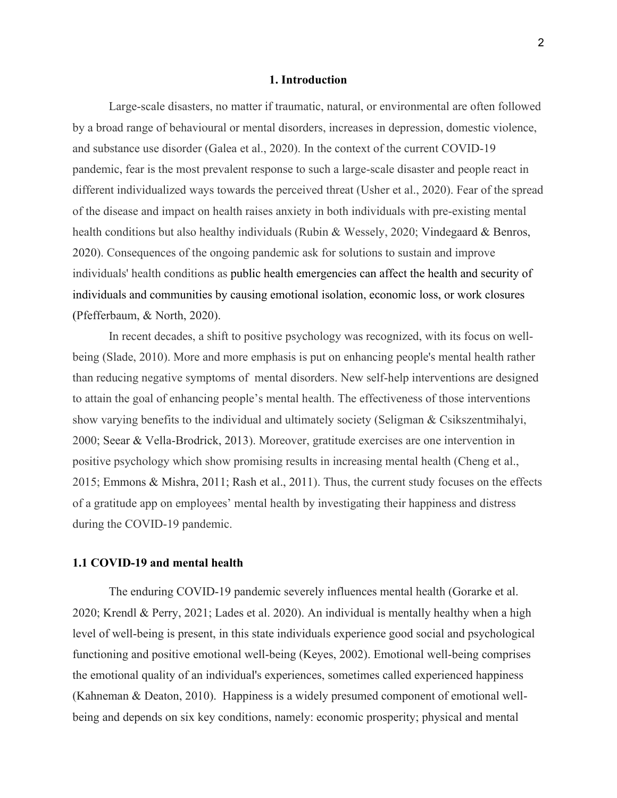### **1. Introduction**

Large-scale disasters, no matter if traumatic, natural, or environmental are often followed by a broad range of behavioural or mental disorders, increases in depression, domestic violence, and substance use disorder (Galea et al., 2020). In the context of the current COVID-19 pandemic, fear is the most prevalent response to such a large-scale disaster and people react in different individualized ways towards the perceived threat (Usher et al., 2020). Fear of the spread of the disease and impact on health raises anxiety in both individuals with pre-existing mental health conditions but also healthy individuals (Rubin & Wessely, 2020; Vindegaard & Benros, 2020). Consequences of the ongoing pandemic ask for solutions to sustain and improve individuals' health conditions as public health emergencies can affect the health and security of individuals and communities by causing emotional isolation, economic loss, or work closures (Pfefferbaum, & North, 2020).

In recent decades, a shift to positive psychology was recognized, with its focus on wellbeing (Slade, 2010). More and more emphasis is put on enhancing people's mental health rather than reducing negative symptoms of mental disorders. New self-help interventions are designed to attain the goal of enhancing people's mental health. The effectiveness of those interventions show varying benefits to the individual and ultimately society (Seligman & Csikszentmihalyi, 2000; Seear & Vella-Brodrick, 2013). Moreover, gratitude exercises are one intervention in positive psychology which show promising results in increasing mental health (Cheng et al., 2015; Emmons & Mishra, 2011; Rash et al., 2011). Thus, the current study focuses on the effects of a gratitude app on employees' mental health by investigating their happiness and distress during the COVID-19 pandemic.

# **1.1 COVID-19 and mental health**

The enduring COVID-19 pandemic severely influences mental health (Gorarke et al. 2020; Krendl & Perry, 2021; Lades et al. 2020). An individual is mentally healthy when a high level of well-being is present, in this state individuals experience good social and psychological functioning and positive emotional well-being (Keyes, 2002). Emotional well-being comprises the emotional quality of an individual's experiences, sometimes called experienced happiness (Kahneman & Deaton, 2010). Happiness is a widely presumed component of emotional wellbeing and depends on six key conditions, namely: economic prosperity; physical and mental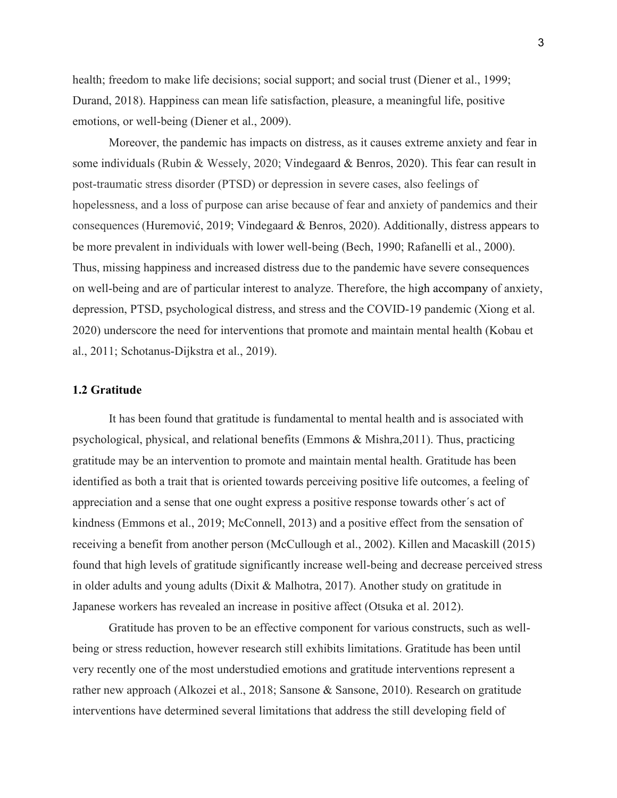health; freedom to make life decisions; social support; and social trust (Diener et al., 1999; Durand, 2018). Happiness can mean life satisfaction, pleasure, a meaningful life, positive emotions, or well-being (Diener et al., 2009).

Moreover, the pandemic has impacts on distress, as it causes extreme anxiety and fear in some individuals (Rubin & Wessely, 2020; Vindegaard & Benros, 2020). This fear can result in post-traumatic stress disorder (PTSD) or depression in severe cases, also feelings of hopelessness, and a loss of purpose can arise because of fear and anxiety of pandemics and their consequences (Huremović, 2019; Vindegaard & Benros, 2020). Additionally, distress appears to be more prevalent in individuals with lower well-being (Bech, 1990; Rafanelli et al., 2000). Thus, missing happiness and increased distress due to the pandemic have severe consequences on well-being and are of particular interest to analyze. Therefore, the high accompany of anxiety, depression, PTSD, psychological distress, and stress and the COVID-19 pandemic (Xiong et al. 2020) underscore the need for interventions that promote and maintain mental health (Kobau et al., 2011; Schotanus-Dijkstra et al., 2019).

# **1.2 Gratitude**

It has been found that gratitude is fundamental to mental health and is associated with psychological, physical, and relational benefits (Emmons & Mishra,2011). Thus, practicing gratitude may be an intervention to promote and maintain mental health. Gratitude has been identified as both a trait that is oriented towards perceiving positive life outcomes, a feeling of appreciation and a sense that one ought express a positive response towards other´s act of kindness (Emmons et al., 2019; McConnell, 2013) and a positive effect from the sensation of receiving a benefit from another person (McCullough et al., 2002). Killen and Macaskill (2015) found that high levels of gratitude significantly increase well-being and decrease perceived stress in older adults and young adults (Dixit & Malhotra, 2017). Another study on gratitude in Japanese workers has revealed an increase in positive affect (Otsuka et al. 2012).

Gratitude has proven to be an effective component for various constructs, such as wellbeing or stress reduction, however research still exhibits limitations. Gratitude has been until very recently one of the most understudied emotions and gratitude interventions represent a rather new approach (Alkozei et al., 2018; Sansone & Sansone, 2010). Research on gratitude interventions have determined several limitations that address the still developing field of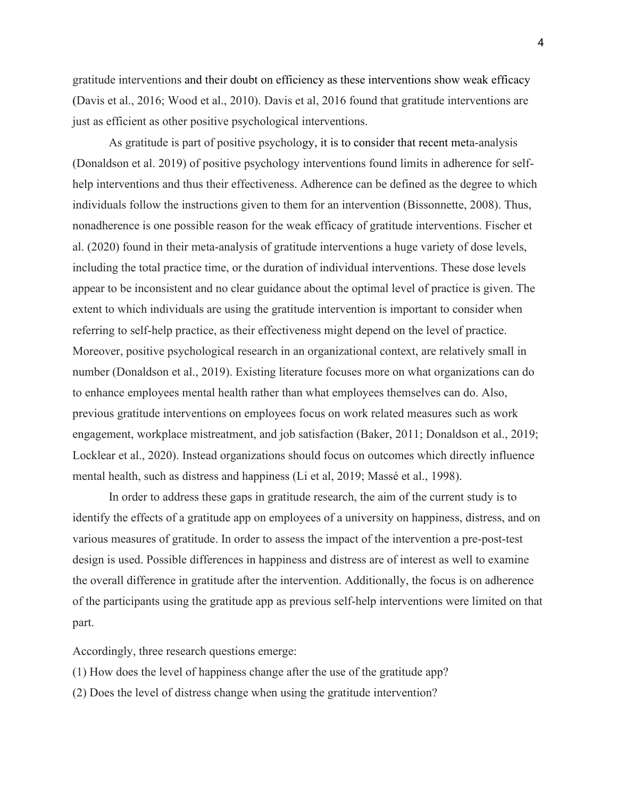gratitude interventions and their doubt on efficiency as these interventions show weak efficacy (Davis et al., 2016; Wood et al., 2010). Davis et al, 2016 found that gratitude interventions are just as efficient as other positive psychological interventions.

As gratitude is part of positive psychology, it is to consider that recent meta-analysis (Donaldson et al. 2019) of positive psychology interventions found limits in adherence for selfhelp interventions and thus their effectiveness. Adherence can be defined as the degree to which individuals follow the instructions given to them for an intervention (Bissonnette, 2008). Thus, nonadherence is one possible reason for the weak efficacy of gratitude interventions. Fischer et al. (2020) found in their meta-analysis of gratitude interventions a huge variety of dose levels, including the total practice time, or the duration of individual interventions. These dose levels appear to be inconsistent and no clear guidance about the optimal level of practice is given. The extent to which individuals are using the gratitude intervention is important to consider when referring to self-help practice, as their effectiveness might depend on the level of practice. Moreover, positive psychological research in an organizational context, are relatively small in number (Donaldson et al., 2019). Existing literature focuses more on what organizations can do to enhance employees mental health rather than what employees themselves can do. Also, previous gratitude interventions on employees focus on work related measures such as work engagement, workplace mistreatment, and job satisfaction (Baker, 2011; Donaldson et al., 2019; Locklear et al., 2020). Instead organizations should focus on outcomes which directly influence mental health, such as distress and happiness (Li et al, 2019; Massé et al., 1998).

In order to address these gaps in gratitude research, the aim of the current study is to identify the effects of a gratitude app on employees of a university on happiness, distress, and on various measures of gratitude. In order to assess the impact of the intervention a pre-post-test design is used. Possible differences in happiness and distress are of interest as well to examine the overall difference in gratitude after the intervention. Additionally, the focus is on adherence of the participants using the gratitude app as previous self-help interventions were limited on that part.

Accordingly, three research questions emerge:

(1) How does the level of happiness change after the use of the gratitude app?

(2) Does the level of distress change when using the gratitude intervention?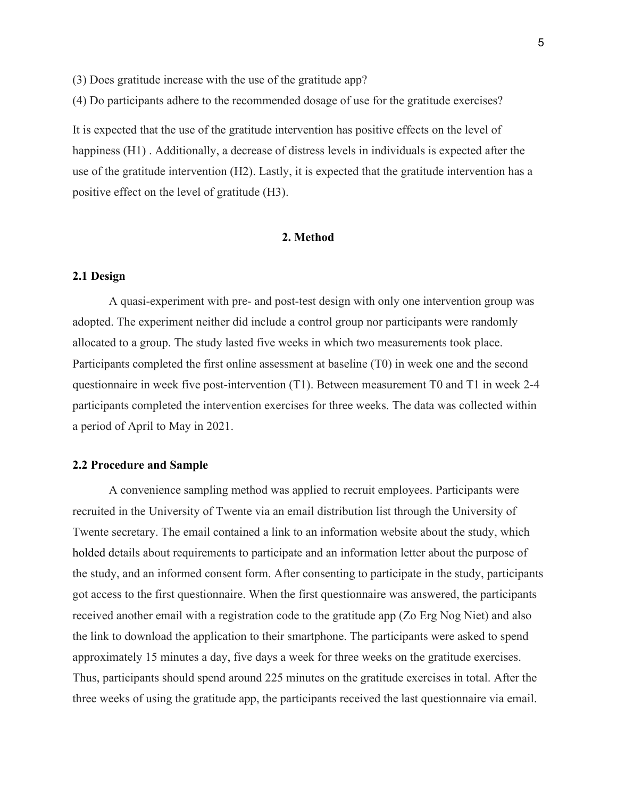(3) Does gratitude increase with the use of the gratitude app?

(4) Do participants adhere to the recommended dosage of use for the gratitude exercises?

It is expected that the use of the gratitude intervention has positive effects on the level of happiness (H1) . Additionally, a decrease of distress levels in individuals is expected after the use of the gratitude intervention (H2). Lastly, it is expected that the gratitude intervention has a positive effect on the level of gratitude (H3).

# **2. Method**

# **2.1 Design**

A quasi-experiment with pre- and post-test design with only one intervention group was adopted. The experiment neither did include a control group nor participants were randomly allocated to a group. The study lasted five weeks in which two measurements took place. Participants completed the first online assessment at baseline (T0) in week one and the second questionnaire in week five post-intervention (T1). Between measurement T0 and T1 in week 2-4 participants completed the intervention exercises for three weeks. The data was collected within a period of April to May in 2021.

# **2.2 Procedure and Sample**

A convenience sampling method was applied to recruit employees. Participants were recruited in the University of Twente via an email distribution list through the University of Twente secretary. The email contained a link to an information website about the study, which holded details about requirements to participate and an information letter about the purpose of the study, and an informed consent form. After consenting to participate in the study, participants got access to the first questionnaire. When the first questionnaire was answered, the participants received another email with a registration code to the gratitude app (Zo Erg Nog Niet) and also the link to download the application to their smartphone. The participants were asked to spend approximately 15 minutes a day, five days a week for three weeks on the gratitude exercises. Thus, participants should spend around 225 minutes on the gratitude exercises in total. After the three weeks of using the gratitude app, the participants received the last questionnaire via email.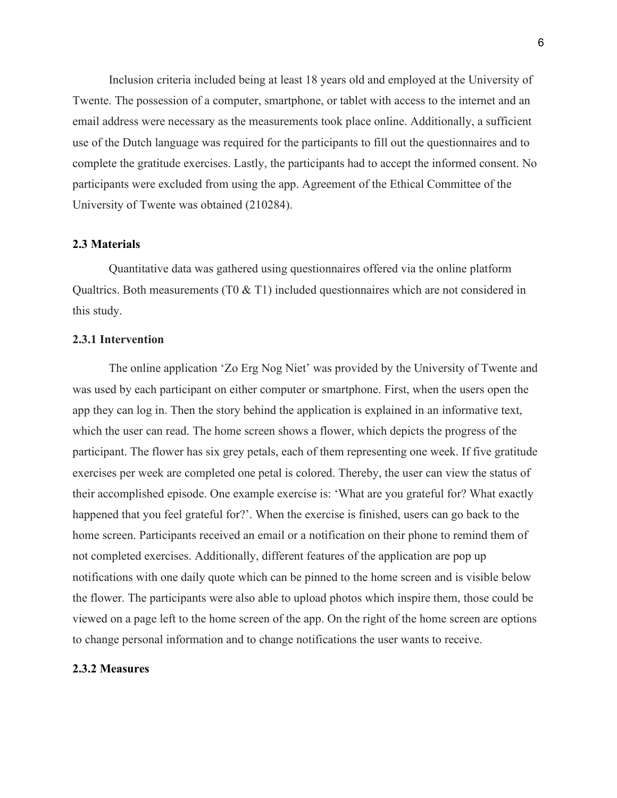Inclusion criteria included being at least 18 years old and employed at the University of Twente. The possession of a computer, smartphone, or tablet with access to the internet and an email address were necessary as the measurements took place online. Additionally, a sufficient use of the Dutch language was required for the participants to fill out the questionnaires and to complete the gratitude exercises. Lastly, the participants had to accept the informed consent. No participants were excluded from using the app. Agreement of the Ethical Committee of the University of Twente was obtained (210284).

# **2.3 Materials**

Quantitative data was gathered using questionnaires offered via the online platform Qualtrics. Both measurements (T0 & T1) included questionnaires which are not considered in this study.

# **2.3.1 Intervention**

The online application 'Zo Erg Nog Niet' was provided by the University of Twente and was used by each participant on either computer or smartphone. First, when the users open the app they can log in. Then the story behind the application is explained in an informative text, which the user can read. The home screen shows a flower, which depicts the progress of the participant. The flower has six grey petals, each of them representing one week. If five gratitude exercises per week are completed one petal is colored. Thereby, the user can view the status of their accomplished episode. One example exercise is: 'What are you grateful for? What exactly happened that you feel grateful for?'. When the exercise is finished, users can go back to the home screen. Participants received an email or a notification on their phone to remind them of not completed exercises. Additionally, different features of the application are pop up notifications with one daily quote which can be pinned to the home screen and is visible below the flower. The participants were also able to upload photos which inspire them, those could be viewed on a page left to the home screen of the app. On the right of the home screen are options to change personal information and to change notifications the user wants to receive.

# **2.3.2 Measures**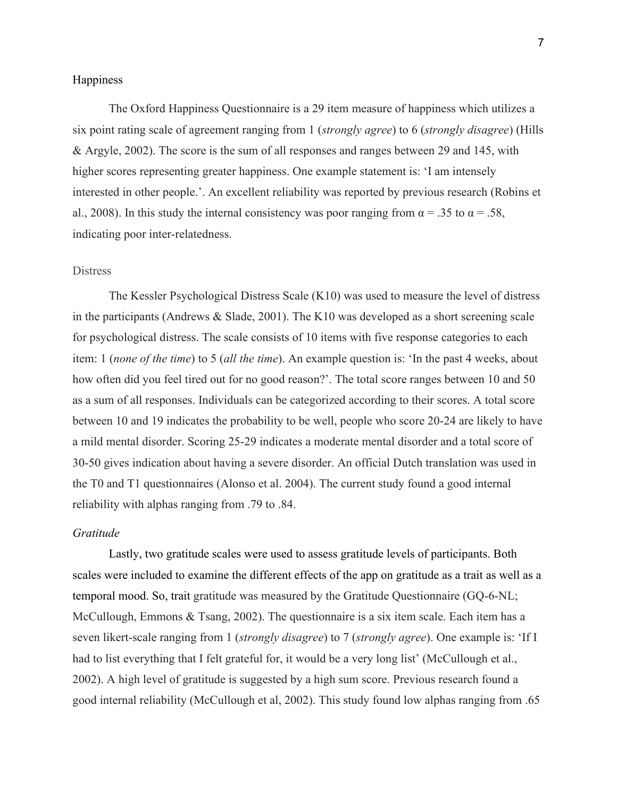# Happiness

The Oxford Happiness Questionnaire is a 29 item measure of happiness which utilizes a six point rating scale of agreement ranging from 1 (*strongly agree*) to 6 (*strongly disagree*) (Hills & Argyle, 2002). The score is the sum of all responses and ranges between 29 and 145, with higher scores representing greater happiness. One example statement is: 'I am intensely interested in other people.'. An excellent reliability was reported by previous research (Robins et al., 2008). In this study the internal consistency was poor ranging from  $\alpha = .35$  to  $\alpha = .58$ , indicating poor inter-relatedness.

# **Distress**

The Kessler Psychological Distress Scale (K10) was used to measure the level of distress in the participants (Andrews & Slade, 2001). The K10 was developed as a short screening scale for psychological distress. The scale consists of 10 items with five response categories to each item: 1 (*none of the time*) to 5 (*all the time*). An example question is: 'In the past 4 weeks, about how often did you feel tired out for no good reason?'. The total score ranges between 10 and 50 as a sum of all responses. Individuals can be categorized according to their scores. A total score between 10 and 19 indicates the probability to be well, people who score 20-24 are likely to have a mild mental disorder. Scoring 25-29 indicates a moderate mental disorder and a total score of 30-50 gives indication about having a severe disorder. An official Dutch translation was used in the T0 and T1 questionnaires (Alonso et al. 2004). The current study found a good internal reliability with alphas ranging from .79 to .84.

### *Gratitude*

Lastly, two gratitude scales were used to assess gratitude levels of participants. Both scales were included to examine the different effects of the app on gratitude as a trait as well as a temporal mood. So, trait gratitude was measured by the Gratitude Questionnaire (GQ-6-NL; McCullough, Emmons & Tsang, 2002). The questionnaire is a six item scale. Each item has a seven likert-scale ranging from 1 (*strongly disagree*) to 7 (*strongly agree*). One example is: 'If I had to list everything that I felt grateful for, it would be a very long list' (McCullough et al., 2002). A high level of gratitude is suggested by a high sum score. Previous research found a good internal reliability (McCullough et al, 2002). This study found low alphas ranging from .65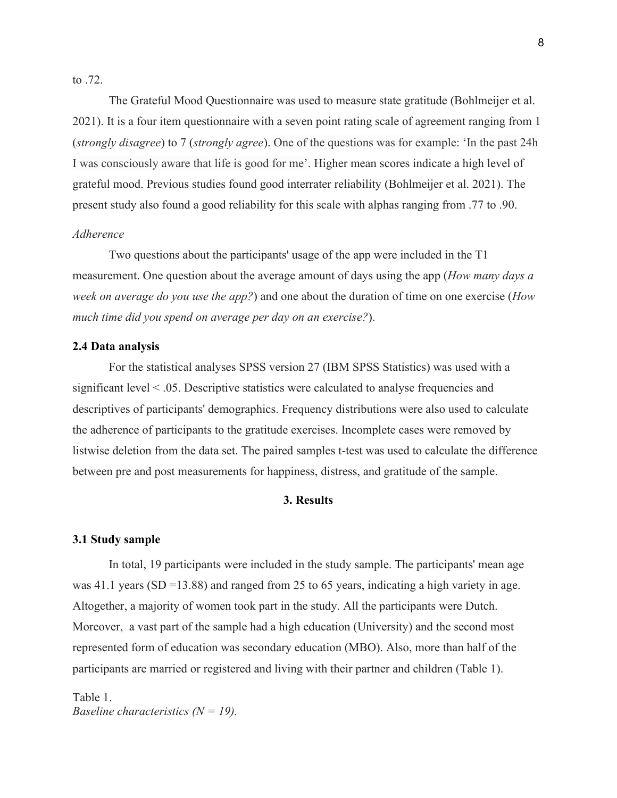to .72.

The Grateful Mood Questionnaire was used to measure state gratitude (Bohlmeijer et al. 2021). It is a four item questionnaire with a seven point rating scale of agreement ranging from 1 (*strongly disagree*) to 7 (*strongly agree*). One of the questions was for example: 'In the past 24h I was consciously aware that life is good for me'. Higher mean scores indicate a high level of grateful mood. Previous studies found good interrater reliability (Bohlmeijer et al. 2021). The present study also found a good reliability for this scale with alphas ranging from .77 to .90.

# *Adherence*

Two questions about the participants' usage of the app were included in the T1 measurement. One question about the average amount of days using the app (*How many days a week on average do you use the app?*) and one about the duration of time on one exercise (*How much time did you spend on average per day on an exercise?*).

#### **2.4 Data analysis**

For the statistical analyses SPSS version 27 (IBM SPSS Statistics) was used with a significant level < .05. Descriptive statistics were calculated to analyse frequencies and descriptives of participants' demographics. Frequency distributions were also used to calculate the adherence of participants to the gratitude exercises. Incomplete cases were removed by listwise deletion from the data set. The paired samples t-test was used to calculate the difference between pre and post measurements for happiness, distress, and gratitude of the sample.

# **3. Results**

#### **3.1 Study sample**

In total, 19 participants were included in the study sample. The participants' mean age was 41.1 years (SD =13.88) and ranged from 25 to 65 years, indicating a high variety in age. Altogether, a majority of women took part in the study. All the participants were Dutch. Moreover, a vast part of the sample had a high education (University) and the second most represented form of education was secondary education (MBO). Also, more than half of the participants are married or registered and living with their partner and children (Table 1).

Table 1. *Baseline characteristics (N = 19).*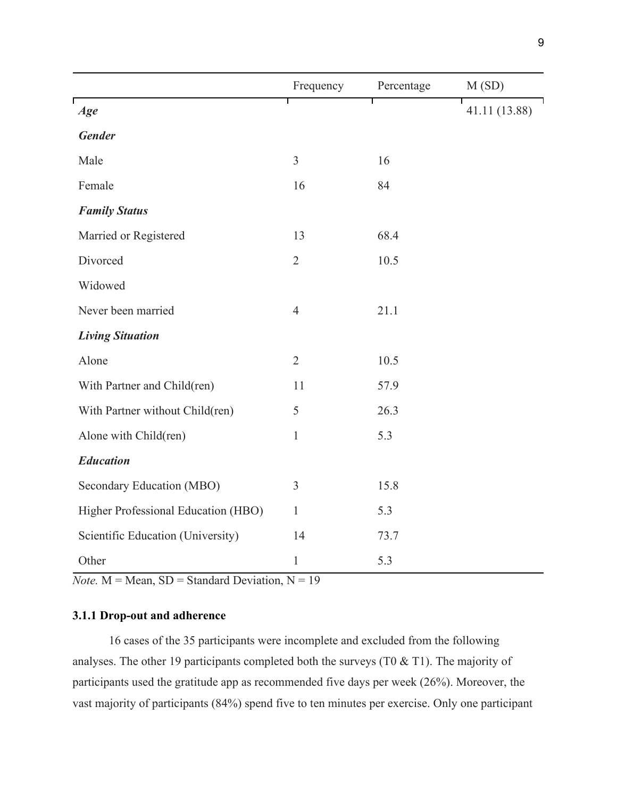|                                     | Frequency      | Percentage | M(SD)         |
|-------------------------------------|----------------|------------|---------------|
| Age                                 |                | Т          | 41.11 (13.88) |
| <b>Gender</b>                       |                |            |               |
| Male                                | $\overline{3}$ | 16         |               |
| Female                              | 16             | 84         |               |
| <b>Family Status</b>                |                |            |               |
| Married or Registered               | 13             | 68.4       |               |
| Divorced                            | $\overline{2}$ | 10.5       |               |
| Widowed                             |                |            |               |
| Never been married                  | $\overline{4}$ | 21.1       |               |
| <b>Living Situation</b>             |                |            |               |
| Alone                               | $\overline{2}$ | 10.5       |               |
| With Partner and Child(ren)         | 11             | 57.9       |               |
| With Partner without Child(ren)     | 5              | 26.3       |               |
| Alone with Child(ren)               | $\mathbf{1}$   | 5.3        |               |
| <b>Education</b>                    |                |            |               |
| Secondary Education (MBO)           | 3              | 15.8       |               |
| Higher Professional Education (HBO) | $\mathbf{1}$   | 5.3        |               |
| Scientific Education (University)   | 14             | 73.7       |               |
| Other                               | $\mathbf{1}$   | 5.3        |               |

*Note.*  $M = Mean$ ,  $SD = Standard Deviation$ ,  $N = 19$ 

# **3.1.1 Drop-out and adherence**

16 cases of the 35 participants were incomplete and excluded from the following analyses. The other 19 participants completed both the surveys (T0 & T1). The majority of participants used the gratitude app as recommended five days per week (26%). Moreover, the vast majority of participants (84%) spend five to ten minutes per exercise. Only one participant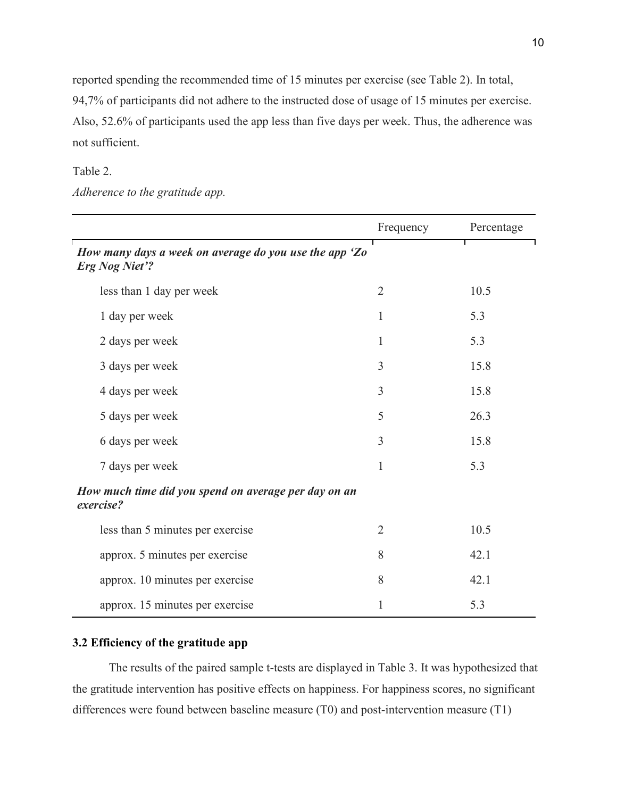reported spending the recommended time of 15 minutes per exercise (see Table 2). In total, 94,7% of participants did not adhere to the instructed dose of usage of 15 minutes per exercise. Also, 52.6% of participants used the app less than five days per week. Thus, the adherence was not sufficient.

# Table 2.

*Adherence to the gratitude app.*

|                                                                                 | Frequency      | Percentage |  |  |  |
|---------------------------------------------------------------------------------|----------------|------------|--|--|--|
| How many days a week on average do you use the app 'Zo<br><b>Erg Nog Niet'?</b> |                |            |  |  |  |
| less than 1 day per week                                                        | $\overline{2}$ | 10.5       |  |  |  |
| 1 day per week                                                                  | 1              | 5.3        |  |  |  |
| 2 days per week                                                                 | 1              | 5.3        |  |  |  |
| 3 days per week                                                                 | 3              | 15.8       |  |  |  |
| 4 days per week                                                                 | 3              | 15.8       |  |  |  |
| 5 days per week                                                                 | 5              | 26.3       |  |  |  |
| 6 days per week                                                                 | 3              | 15.8       |  |  |  |
| 7 days per week                                                                 | 1              | 5.3        |  |  |  |
| How much time did you spend on average per day on an<br>exercise?               |                |            |  |  |  |
| less than 5 minutes per exercise                                                | $\overline{2}$ | 10.5       |  |  |  |
| approx. 5 minutes per exercise                                                  | 8              | 42.1       |  |  |  |
| approx. 10 minutes per exercise                                                 | 8              | 42.1       |  |  |  |
| approx. 15 minutes per exercise                                                 | 1              | 5.3        |  |  |  |

# **3.2 Efficiency of the gratitude app**

The results of the paired sample t-tests are displayed in Table 3. It was hypothesized that the gratitude intervention has positive effects on happiness. For happiness scores, no significant differences were found between baseline measure (T0) and post-intervention measure (T1)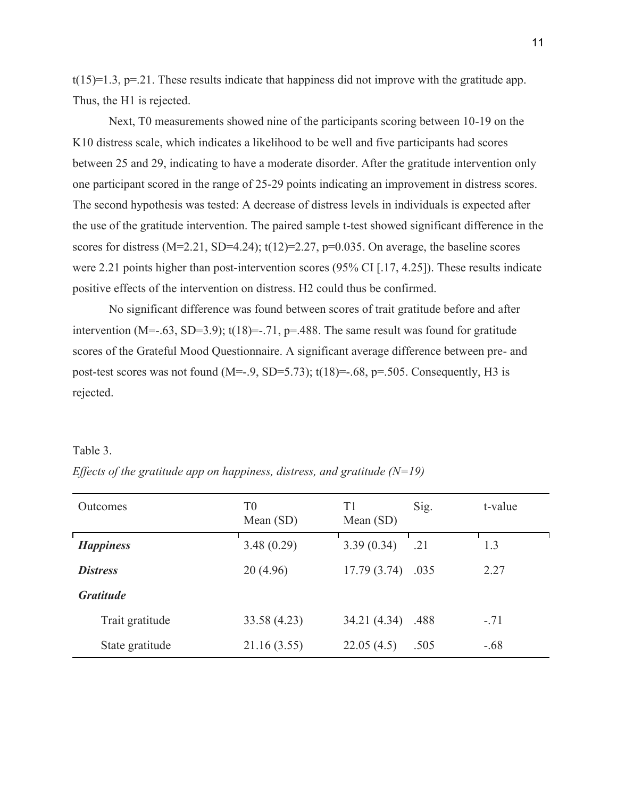$t(15)=1.3$ ,  $p=.21$ . These results indicate that happiness did not improve with the gratitude app. Thus, the H1 is rejected.

Next, T0 measurements showed nine of the participants scoring between 10-19 on the K10 distress scale, which indicates a likelihood to be well and five participants had scores between 25 and 29, indicating to have a moderate disorder. After the gratitude intervention only one participant scored in the range of 25-29 points indicating an improvement in distress scores. The second hypothesis was tested: A decrease of distress levels in individuals is expected after the use of the gratitude intervention. The paired sample t-test showed significant difference in the scores for distress ( $M=2.21$ , SD=4.24); t(12)=2.27, p=0.035. On average, the baseline scores were 2.21 points higher than post-intervention scores (95% CI [.17, 4.25]). These results indicate positive effects of the intervention on distress. H2 could thus be confirmed.

No significant difference was found between scores of trait gratitude before and after intervention (M= $-.63$ , SD= $3.9$ ); t(18)= $-.71$ , p= $.488$ . The same result was found for gratitude scores of the Grateful Mood Questionnaire. A significant average difference between pre- and post-test scores was not found  $(M=-.9, SD=5.73)$ ;  $t(18)=-.68, p=.505$ . Consequently, H3 is rejected.

# Table 3.

| <b>Outcomes</b>  | T <sub>0</sub><br>Mean $(SD)$ | T1<br>Mean $(SD)$ | Sig. | t-value |
|------------------|-------------------------------|-------------------|------|---------|
| <b>Happiness</b> | 3.48(0.29)                    | 3.39(0.34)        | .21  | 1.3     |
| <b>Distress</b>  | 20(4.96)                      | 17.79(3.74)       | .035 | 2.27    |
| <b>Gratitude</b> |                               |                   |      |         |
| Trait gratitude  | 33.58 (4.23)                  | 34.21 (4.34)      | .488 | $-.71$  |
| State gratitude  | 21.16 (3.55)                  | 22.05(4.5)        | .505 | $-.68$  |

*Effects of the gratitude app on happiness, distress, and gratitude (N=19)*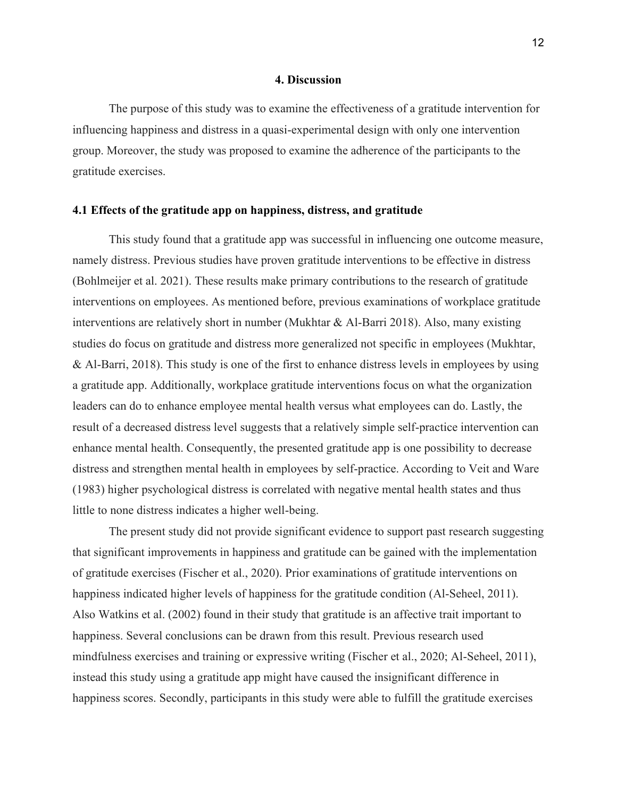# **4. Discussion**

The purpose of this study was to examine the effectiveness of a gratitude intervention for influencing happiness and distress in a quasi-experimental design with only one intervention group. Moreover, the study was proposed to examine the adherence of the participants to the gratitude exercises.

# **4.1 Effects of the gratitude app on happiness, distress, and gratitude**

This study found that a gratitude app was successful in influencing one outcome measure, namely distress. Previous studies have proven gratitude interventions to be effective in distress (Bohlmeijer et al. 2021). These results make primary contributions to the research of gratitude interventions on employees. As mentioned before, previous examinations of workplace gratitude interventions are relatively short in number (Mukhtar & Al-Barri 2018). Also, many existing studies do focus on gratitude and distress more generalized not specific in employees (Mukhtar, & Al-Barri, 2018). This study is one of the first to enhance distress levels in employees by using a gratitude app. Additionally, workplace gratitude interventions focus on what the organization leaders can do to enhance employee mental health versus what employees can do. Lastly, the result of a decreased distress level suggests that a relatively simple self-practice intervention can enhance mental health. Consequently, the presented gratitude app is one possibility to decrease distress and strengthen mental health in employees by self-practice. According to Veit and Ware (1983) higher psychological distress is correlated with negative mental health states and thus little to none distress indicates a higher well-being.

The present study did not provide significant evidence to support past research suggesting that significant improvements in happiness and gratitude can be gained with the implementation of gratitude exercises (Fischer et al., 2020). Prior examinations of gratitude interventions on happiness indicated higher levels of happiness for the gratitude condition (Al-Seheel, 2011). Also Watkins et al. (2002) found in their study that gratitude is an affective trait important to happiness. Several conclusions can be drawn from this result. Previous research used mindfulness exercises and training or expressive writing (Fischer et al., 2020; Al-Seheel, 2011), instead this study using a gratitude app might have caused the insignificant difference in happiness scores. Secondly, participants in this study were able to fulfill the gratitude exercises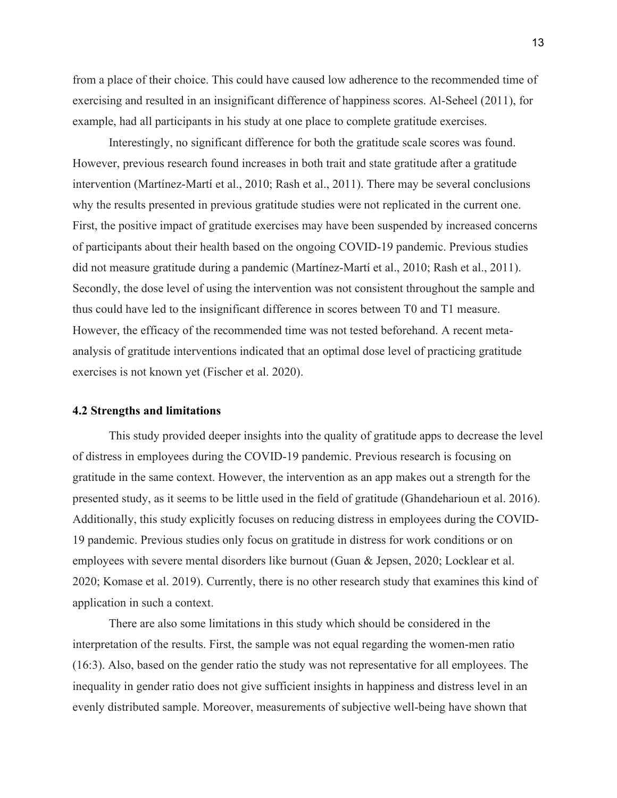from a place of their choice. This could have caused low adherence to the recommended time of exercising and resulted in an insignificant difference of happiness scores. Al-Seheel (2011), for example, had all participants in his study at one place to complete gratitude exercises.

Interestingly, no significant difference for both the gratitude scale scores was found. However, previous research found increases in both trait and state gratitude after a gratitude intervention (Martínez-Martí et al., 2010; Rash et al., 2011). There may be several conclusions why the results presented in previous gratitude studies were not replicated in the current one. First, the positive impact of gratitude exercises may have been suspended by increased concerns of participants about their health based on the ongoing COVID-19 pandemic. Previous studies did not measure gratitude during a pandemic (Martínez-Martí et al., 2010; Rash et al., 2011). Secondly, the dose level of using the intervention was not consistent throughout the sample and thus could have led to the insignificant difference in scores between T0 and T1 measure. However, the efficacy of the recommended time was not tested beforehand. A recent metaanalysis of gratitude interventions indicated that an optimal dose level of practicing gratitude exercises is not known yet (Fischer et al. 2020).

## **4.2 Strengths and limitations**

This study provided deeper insights into the quality of gratitude apps to decrease the level of distress in employees during the COVID-19 pandemic. Previous research is focusing on gratitude in the same context. However, the intervention as an app makes out a strength for the presented study, as it seems to be little used in the field of gratitude (Ghandeharioun et al. 2016). Additionally, this study explicitly focuses on reducing distress in employees during the COVID-19 pandemic. Previous studies only focus on gratitude in distress for work conditions or on employees with severe mental disorders like burnout (Guan & Jepsen, 2020; Locklear et al. 2020; Komase et al. 2019). Currently, there is no other research study that examines this kind of application in such a context.

There are also some limitations in this study which should be considered in the interpretation of the results. First, the sample was not equal regarding the women-men ratio (16:3). Also, based on the gender ratio the study was not representative for all employees. The inequality in gender ratio does not give sufficient insights in happiness and distress level in an evenly distributed sample. Moreover, measurements of subjective well-being have shown that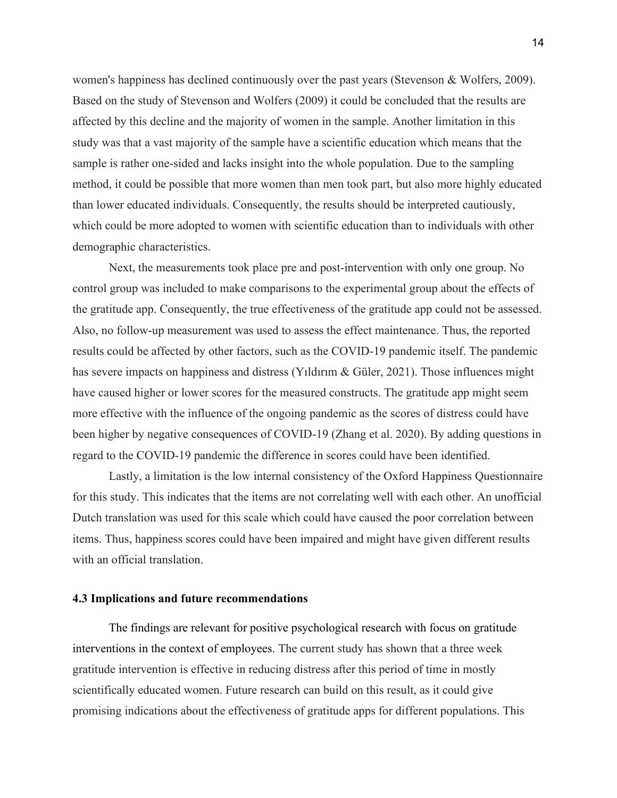women's happiness has declined continuously over the past years (Stevenson & Wolfers, 2009). Based on the study of Stevenson and Wolfers (2009) it could be concluded that the results are affected by this decline and the majority of women in the sample. Another limitation in this study was that a vast majority of the sample have a scientific education which means that the sample is rather one-sided and lacks insight into the whole population. Due to the sampling method, it could be possible that more women than men took part, but also more highly educated than lower educated individuals. Consequently, the results should be interpreted cautiously, which could be more adopted to women with scientific education than to individuals with other demographic characteristics.

Next, the measurements took place pre and post-intervention with only one group. No control group was included to make comparisons to the experimental group about the effects of the gratitude app. Consequently, the true effectiveness of the gratitude app could not be assessed. Also, no follow-up measurement was used to assess the effect maintenance. Thus, the reported results could be affected by other factors, such as the COVID-19 pandemic itself. The pandemic has severe impacts on happiness and distress (Yıldırım & Güler, 2021). Those influences might have caused higher or lower scores for the measured constructs. The gratitude app might seem more effective with the influence of the ongoing pandemic as the scores of distress could have been higher by negative consequences of COVID-19 (Zhang et al. 2020). By adding questions in regard to the COVID-19 pandemic the difference in scores could have been identified.

Lastly, a limitation is the low internal consistency of the Oxford Happiness Questionnaire for this study. This indicates that the items are not correlating well with each other. An unofficial Dutch translation was used for this scale which could have caused the poor correlation between items. Thus, happiness scores could have been impaired and might have given different results with an official translation.

# **4.3 Implications and future recommendations**

The findings are relevant for positive psychological research with focus on gratitude interventions in the context of employees. The current study has shown that a three week gratitude intervention is effective in reducing distress after this period of time in mostly scientifically educated women. Future research can build on this result, as it could give promising indications about the effectiveness of gratitude apps for different populations. This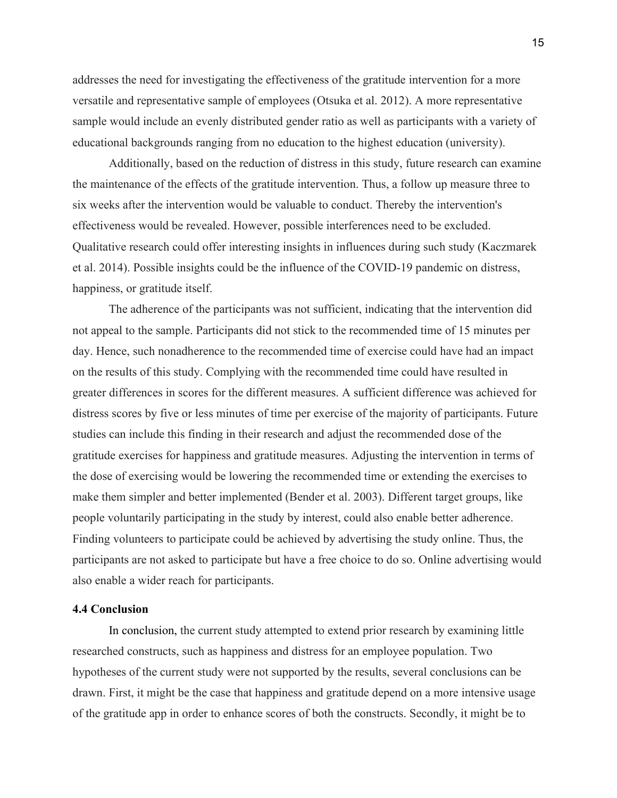addresses the need for investigating the effectiveness of the gratitude intervention for a more versatile and representative sample of employees (Otsuka et al. 2012). A more representative sample would include an evenly distributed gender ratio as well as participants with a variety of educational backgrounds ranging from no education to the highest education (university).

Additionally, based on the reduction of distress in this study, future research can examine the maintenance of the effects of the gratitude intervention. Thus, a follow up measure three to six weeks after the intervention would be valuable to conduct. Thereby the intervention's effectiveness would be revealed. However, possible interferences need to be excluded. Qualitative research could offer interesting insights in influences during such study (Kaczmarek et al. 2014). Possible insights could be the influence of the COVID-19 pandemic on distress, happiness, or gratitude itself.

The adherence of the participants was not sufficient, indicating that the intervention did not appeal to the sample. Participants did not stick to the recommended time of 15 minutes per day. Hence, such nonadherence to the recommended time of exercise could have had an impact on the results of this study. Complying with the recommended time could have resulted in greater differences in scores for the different measures. A sufficient difference was achieved for distress scores by five or less minutes of time per exercise of the majority of participants. Future studies can include this finding in their research and adjust the recommended dose of the gratitude exercises for happiness and gratitude measures. Adjusting the intervention in terms of the dose of exercising would be lowering the recommended time or extending the exercises to make them simpler and better implemented (Bender et al. 2003). Different target groups, like people voluntarily participating in the study by interest, could also enable better adherence. Finding volunteers to participate could be achieved by advertising the study online. Thus, the participants are not asked to participate but have a free choice to do so. Online advertising would also enable a wider reach for participants.

## **4.4 Conclusion**

In conclusion, the current study attempted to extend prior research by examining little researched constructs, such as happiness and distress for an employee population. Two hypotheses of the current study were not supported by the results, several conclusions can be drawn. First, it might be the case that happiness and gratitude depend on a more intensive usage of the gratitude app in order to enhance scores of both the constructs. Secondly, it might be to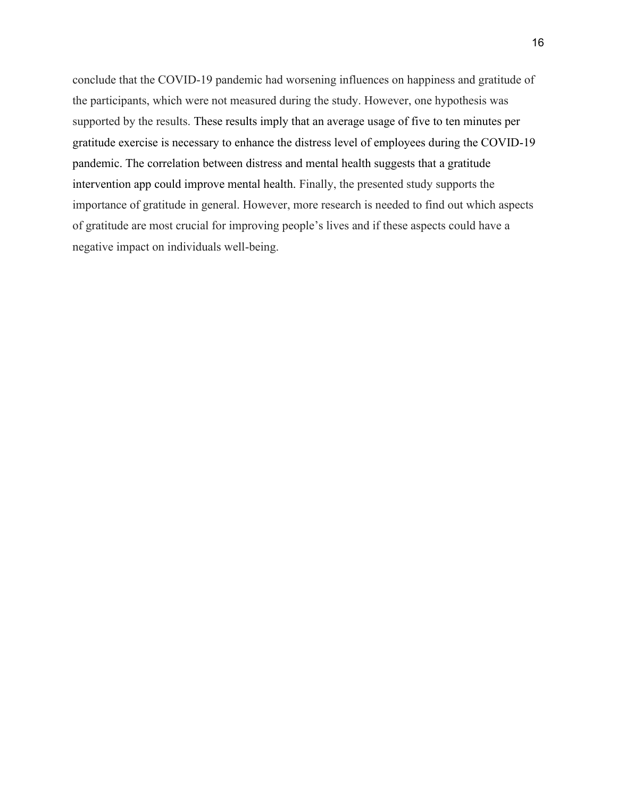conclude that the COVID-19 pandemic had worsening influences on happiness and gratitude of the participants, which were not measured during the study. However, one hypothesis was supported by the results. These results imply that an average usage of five to ten minutes per gratitude exercise is necessary to enhance the distress level of employees during the COVID-19 pandemic. The correlation between distress and mental health suggests that a gratitude intervention app could improve mental health. Finally, the presented study supports the importance of gratitude in general. However, more research is needed to find out which aspects of gratitude are most crucial for improving people's lives and if these aspects could have a negative impact on individuals well-being.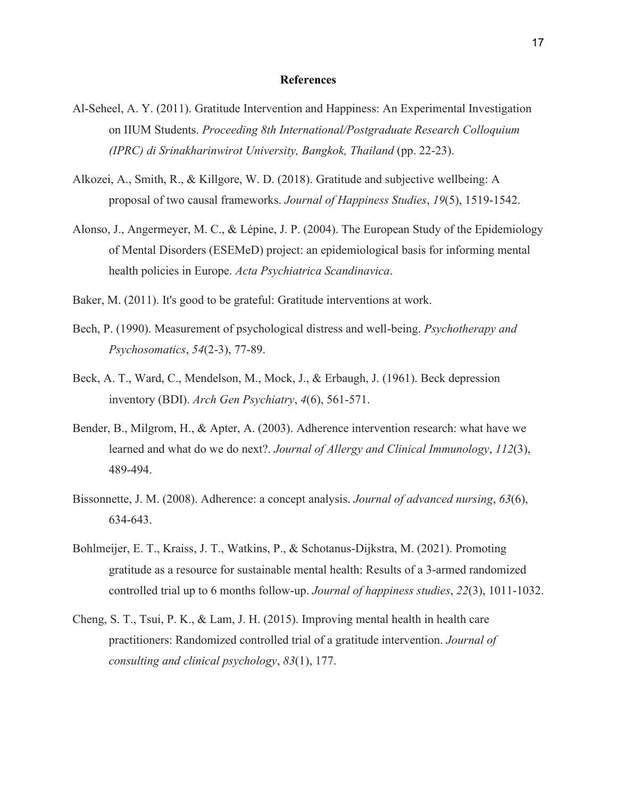## **References**

- Al-Seheel, A. Y. (2011). Gratitude Intervention and Happiness: An Experimental Investigation on IIUM Students. *Proceeding 8th International/Postgraduate Research Colloquium (IPRC) di Srinakharinwirot University, Bangkok, Thailand* (pp. 22-23).
- Alkozei, A., Smith, R., & Killgore, W. D. (2018). Gratitude and subjective wellbeing: A proposal of two causal frameworks. *Journal of Happiness Studies*, *19*(5), 1519-1542.
- Alonso, J., Angermeyer, M. C., & Lépine, J. P. (2004). The European Study of the Epidemiology of Mental Disorders (ESEMeD) project: an epidemiological basis for informing mental health policies in Europe. *Acta Psychiatrica Scandinavica*.
- Baker, M. (2011). It's good to be grateful: Gratitude interventions at work.
- Bech, P. (1990). Measurement of psychological distress and well-being. *Psychotherapy and Psychosomatics*, *54*(2-3), 77-89.
- Beck, A. T., Ward, C., Mendelson, M., Mock, J., & Erbaugh, J. (1961). Beck depression inventory (BDI). *Arch Gen Psychiatry*, *4*(6), 561-571.
- Bender, B., Milgrom, H., & Apter, A. (2003). Adherence intervention research: what have we learned and what do we do next?. *Journal of Allergy and Clinical Immunology*, *112*(3), 489-494.
- Bissonnette, J. M. (2008). Adherence: a concept analysis. *Journal of advanced nursing*, *63*(6), 634-643.
- Bohlmeijer, E. T., Kraiss, J. T., Watkins, P., & Schotanus-Dijkstra, M. (2021). Promoting gratitude as a resource for sustainable mental health: Results of a 3-armed randomized controlled trial up to 6 months follow-up. *Journal of happiness studies*, *22*(3), 1011-1032.
- Cheng, S. T., Tsui, P. K., & Lam, J. H. (2015). Improving mental health in health care practitioners: Randomized controlled trial of a gratitude intervention. *Journal of consulting and clinical psychology*, *83*(1), 177.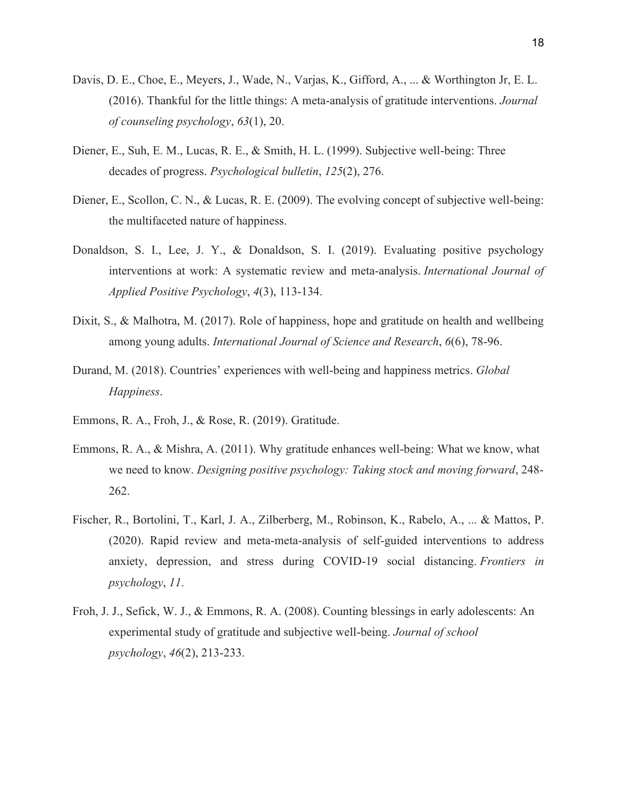- Davis, D. E., Choe, E., Meyers, J., Wade, N., Varjas, K., Gifford, A., ... & Worthington Jr, E. L. (2016). Thankful for the little things: A meta-analysis of gratitude interventions. *Journal of counseling psychology*, *63*(1), 20.
- Diener, E., Suh, E. M., Lucas, R. E., & Smith, H. L. (1999). Subjective well-being: Three decades of progress. *Psychological bulletin*, *125*(2), 276.
- Diener, E., Scollon, C. N., & Lucas, R. E. (2009). The evolving concept of subjective well-being: the multifaceted nature of happiness.
- Donaldson, S. I., Lee, J. Y., & Donaldson, S. I. (2019). Evaluating positive psychology interventions at work: A systematic review and meta-analysis. *International Journal of Applied Positive Psychology*, *4*(3), 113-134.
- Dixit, S., & Malhotra, M. (2017). Role of happiness, hope and gratitude on health and wellbeing among young adults. *International Journal of Science and Research*, *6*(6), 78-96.
- Durand, M. (2018). Countries' experiences with well-being and happiness metrics. *Global Happiness*.
- Emmons, R. A., Froh, J., & Rose, R. (2019). Gratitude.
- Emmons, R. A., & Mishra, A. (2011). Why gratitude enhances well-being: What we know, what we need to know. *Designing positive psychology: Taking stock and moving forward*, 248- 262.
- Fischer, R., Bortolini, T., Karl, J. A., Zilberberg, M., Robinson, K., Rabelo, A., ... & Mattos, P. (2020). Rapid review and meta-meta-analysis of self-guided interventions to address anxiety, depression, and stress during COVID-19 social distancing. *Frontiers in psychology*, *11*.
- Froh, J. J., Sefick, W. J., & Emmons, R. A. (2008). Counting blessings in early adolescents: An experimental study of gratitude and subjective well-being. *Journal of school psychology*, *46*(2), 213-233.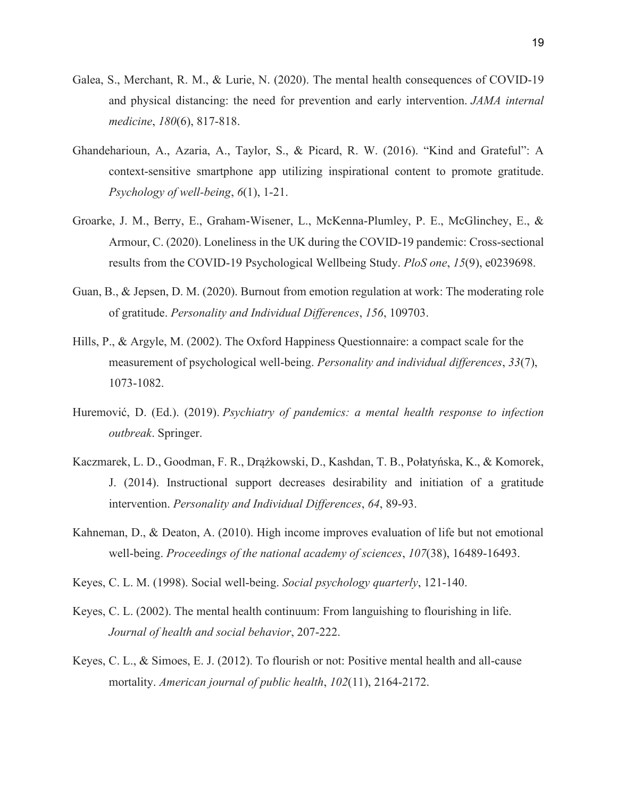- Galea, S., Merchant, R. M., & Lurie, N. (2020). The mental health consequences of COVID-19 and physical distancing: the need for prevention and early intervention. *JAMA internal medicine*, *180*(6), 817-818.
- Ghandeharioun, A., Azaria, A., Taylor, S., & Picard, R. W. (2016). "Kind and Grateful": A context-sensitive smartphone app utilizing inspirational content to promote gratitude. *Psychology of well-being*, *6*(1), 1-21.
- Groarke, J. M., Berry, E., Graham-Wisener, L., McKenna-Plumley, P. E., McGlinchey, E., & Armour, C. (2020). Loneliness in the UK during the COVID-19 pandemic: Cross-sectional results from the COVID-19 Psychological Wellbeing Study. *PloS one*, *15*(9), e0239698.
- Guan, B., & Jepsen, D. M. (2020). Burnout from emotion regulation at work: The moderating role of gratitude. *Personality and Individual Differences*, *156*, 109703.
- Hills, P., & Argyle, M. (2002). The Oxford Happiness Questionnaire: a compact scale for the measurement of psychological well-being. *Personality and individual differences*, *33*(7), 1073-1082.
- Huremović, D. (Ed.). (2019). *Psychiatry of pandemics: a mental health response to infection outbreak*. Springer.
- Kaczmarek, L. D., Goodman, F. R., Drążkowski, D., Kashdan, T. B., Połatyńska, K., & Komorek, J. (2014). Instructional support decreases desirability and initiation of a gratitude intervention. *Personality and Individual Differences*, *64*, 89-93.
- Kahneman, D., & Deaton, A. (2010). High income improves evaluation of life but not emotional well-being. *Proceedings of the national academy of sciences*, *107*(38), 16489-16493.
- Keyes, C. L. M. (1998). Social well-being. *Social psychology quarterly*, 121-140.
- Keyes, C. L. (2002). The mental health continuum: From languishing to flourishing in life. *Journal of health and social behavior*, 207-222.
- Keyes, C. L., & Simoes, E. J. (2012). To flourish or not: Positive mental health and all-cause mortality. *American journal of public health*, *102*(11), 2164-2172.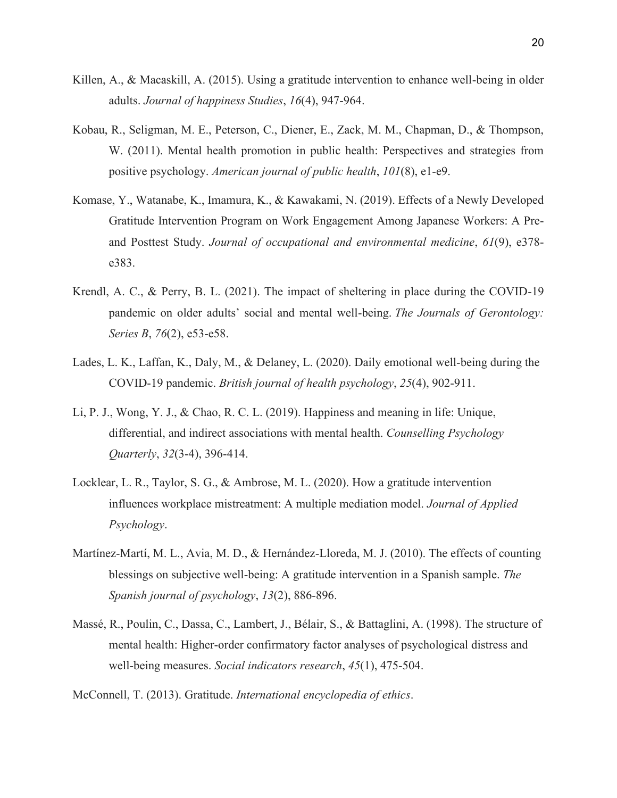- Killen, A., & Macaskill, A. (2015). Using a gratitude intervention to enhance well-being in older adults. *Journal of happiness Studies*, *16*(4), 947-964.
- Kobau, R., Seligman, M. E., Peterson, C., Diener, E., Zack, M. M., Chapman, D., & Thompson, W. (2011). Mental health promotion in public health: Perspectives and strategies from positive psychology. *American journal of public health*, *101*(8), e1-e9.
- Komase, Y., Watanabe, K., Imamura, K., & Kawakami, N. (2019). Effects of a Newly Developed Gratitude Intervention Program on Work Engagement Among Japanese Workers: A Preand Posttest Study. *Journal of occupational and environmental medicine*, *61*(9), e378 e383.
- Krendl, A. C., & Perry, B. L. (2021). The impact of sheltering in place during the COVID-19 pandemic on older adults' social and mental well-being. *The Journals of Gerontology: Series B*, *76*(2), e53-e58.
- Lades, L. K., Laffan, K., Daly, M., & Delaney, L. (2020). Daily emotional well‐being during the COVID‐19 pandemic. *British journal of health psychology*, *25*(4), 902-911.
- Li, P. J., Wong, Y. J., & Chao, R. C. L. (2019). Happiness and meaning in life: Unique, differential, and indirect associations with mental health. *Counselling Psychology Quarterly*, *32*(3-4), 396-414.
- Locklear, L. R., Taylor, S. G., & Ambrose, M. L. (2020). How a gratitude intervention influences workplace mistreatment: A multiple mediation model. *Journal of Applied Psychology*.
- Martínez-Martí, M. L., Avia, M. D., & Hernández-Lloreda, M. J. (2010). The effects of counting blessings on subjective well-being: A gratitude intervention in a Spanish sample. *The Spanish journal of psychology*, *13*(2), 886-896.
- Massé, R., Poulin, C., Dassa, C., Lambert, J., Bélair, S., & Battaglini, A. (1998). The structure of mental health: Higher-order confirmatory factor analyses of psychological distress and well-being measures. *Social indicators research*, *45*(1), 475-504.

McConnell, T. (2013). Gratitude. *International encyclopedia of ethics*.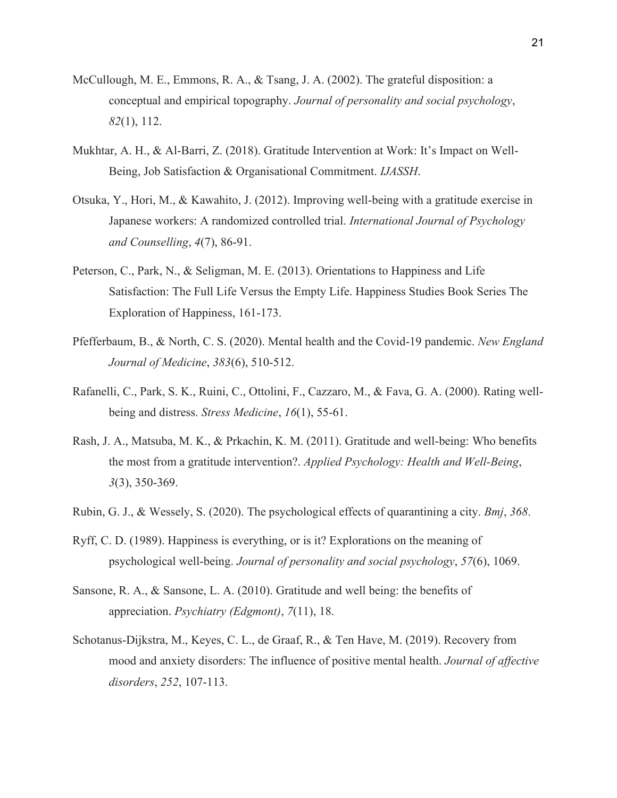- McCullough, M. E., Emmons, R. A., & Tsang, J. A. (2002). The grateful disposition: a conceptual and empirical topography. *Journal of personality and social psychology*, *82*(1), 112.
- Mukhtar, A. H., & Al-Barri, Z. (2018). Gratitude Intervention at Work: It's Impact on Well-Being, Job Satisfaction & Organisational Commitment. *IJASSH*.
- Otsuka, Y., Hori, M., & Kawahito, J. (2012). Improving well-being with a gratitude exercise in Japanese workers: A randomized controlled trial. *International Journal of Psychology and Counselling*, *4*(7), 86-91.
- Peterson, C., Park, N., & Seligman, M. E. (2013). Orientations to Happiness and Life Satisfaction: The Full Life Versus the Empty Life. Happiness Studies Book Series The Exploration of Happiness, 161-173.
- Pfefferbaum, B., & North, C. S. (2020). Mental health and the Covid-19 pandemic. *New England Journal of Medicine*, *383*(6), 510-512.
- Rafanelli, C., Park, S. K., Ruini, C., Ottolini, F., Cazzaro, M., & Fava, G. A. (2000). Rating well‐ being and distress. *Stress Medicine*, *16*(1), 55-61.
- Rash, J. A., Matsuba, M. K., & Prkachin, K. M. (2011). Gratitude and well-being: Who benefits the most from a gratitude intervention?. *Applied Psychology: Health and Well‐Being*, *3*(3), 350-369.
- Rubin, G. J., & Wessely, S. (2020). The psychological effects of quarantining a city. *Bmj*, *368*.
- Ryff, C. D. (1989). Happiness is everything, or is it? Explorations on the meaning of psychological well-being. *Journal of personality and social psychology*, *57*(6), 1069.
- Sansone, R. A., & Sansone, L. A. (2010). Gratitude and well being: the benefits of appreciation. *Psychiatry (Edgmont)*, *7*(11), 18.
- Schotanus-Dijkstra, M., Keyes, C. L., de Graaf, R., & Ten Have, M. (2019). Recovery from mood and anxiety disorders: The influence of positive mental health. *Journal of affective disorders*, *252*, 107-113.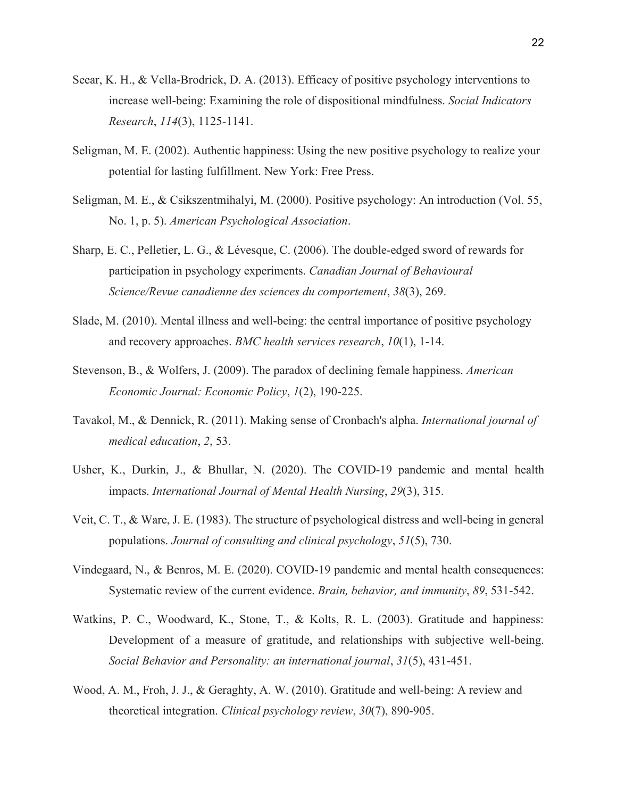- Seear, K. H., & Vella-Brodrick, D. A. (2013). Efficacy of positive psychology interventions to increase well-being: Examining the role of dispositional mindfulness. *Social Indicators Research*, *114*(3), 1125-1141.
- Seligman, M. E. (2002). Authentic happiness: Using the new positive psychology to realize your potential for lasting fulfillment. New York: Free Press.
- Seligman, M. E., & Csikszentmihalyi, M. (2000). Positive psychology: An introduction (Vol. 55, No. 1, p. 5). *American Psychological Association*.
- Sharp, E. C., Pelletier, L. G., & Lévesque, C. (2006). The double-edged sword of rewards for participation in psychology experiments. *Canadian Journal of Behavioural Science/Revue canadienne des sciences du comportement*, *38*(3), 269.
- Slade, M. (2010). Mental illness and well-being: the central importance of positive psychology and recovery approaches. *BMC health services research*, *10*(1), 1-14.
- Stevenson, B., & Wolfers, J. (2009). The paradox of declining female happiness. *American Economic Journal: Economic Policy*, *1*(2), 190-225.
- Tavakol, M., & Dennick, R. (2011). Making sense of Cronbach's alpha. *International journal of medical education*, *2*, 53.
- Usher, K., Durkin, J., & Bhullar, N. (2020). The COVID-19 pandemic and mental health impacts. *International Journal of Mental Health Nursing*, *29*(3), 315.
- Veit, C. T., & Ware, J. E. (1983). The structure of psychological distress and well-being in general populations. *Journal of consulting and clinical psychology*, *51*(5), 730.
- Vindegaard, N., & Benros, M. E. (2020). COVID-19 pandemic and mental health consequences: Systematic review of the current evidence. *Brain, behavior, and immunity*, *89*, 531-542.
- Watkins, P. C., Woodward, K., Stone, T., & Kolts, R. L. (2003). Gratitude and happiness: Development of a measure of gratitude, and relationships with subjective well-being. *Social Behavior and Personality: an international journal*, *31*(5), 431-451.
- Wood, A. M., Froh, J. J., & Geraghty, A. W. (2010). Gratitude and well-being: A review and theoretical integration. *Clinical psychology review*, *30*(7), 890-905.